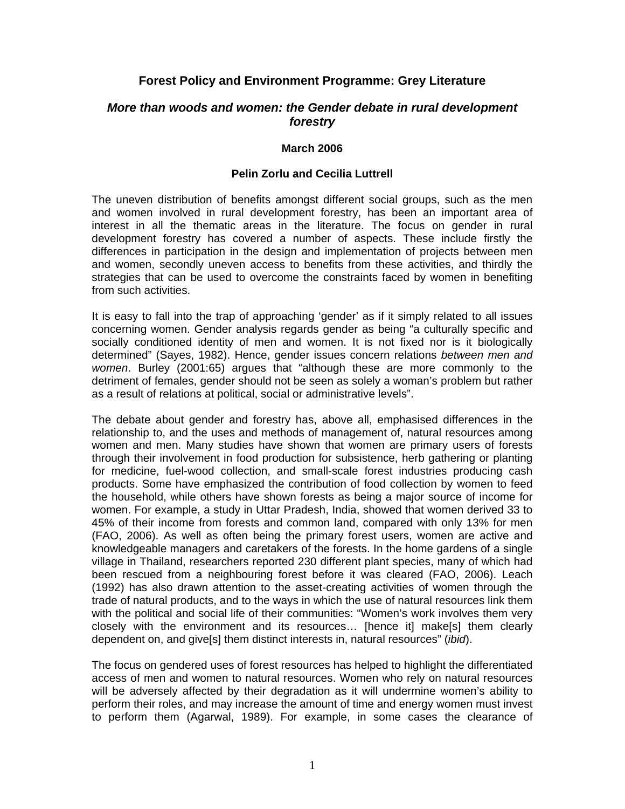# **Forest Policy and Environment Programme: Grey Literature**

## *More than woods and women: the Gender debate in rural development forestry*

### **March 2006**

### **Pelin Zorlu and Cecilia Luttrell**

The uneven distribution of benefits amongst different social groups, such as the men and women involved in rural development forestry, has been an important area of interest in all the thematic areas in the literature. The focus on gender in rural development forestry has covered a number of aspects. These include firstly the differences in participation in the design and implementation of projects between men and women, secondly uneven access to benefits from these activities, and thirdly the strategies that can be used to overcome the constraints faced by women in benefiting from such activities.

It is easy to fall into the trap of approaching 'gender' as if it simply related to all issues concerning women. Gender analysis regards gender as being "a culturally specific and socially conditioned identity of men and women. It is not fixed nor is it biologically determined" (Sayes, 1982). Hence, gender issues concern relations *between men and women*. Burley (2001:65) argues that "although these are more commonly to the detriment of females, gender should not be seen as solely a woman's problem but rather as a result of relations at political, social or administrative levels".

The debate about gender and forestry has, above all, emphasised differences in the relationship to, and the uses and methods of management of, natural resources among women and men. Many studies have shown that women are primary users of forests through their involvement in food production for subsistence, herb gathering or planting for medicine, fuel-wood collection, and small-scale forest industries producing cash products. Some have emphasized the contribution of food collection by women to feed the household, while others have shown forests as being a major source of income for women. For example, a study in Uttar Pradesh, India, showed that women derived 33 to 45% of their income from forests and common land, compared with only 13% for men (FAO, 2006). As well as often being the primary forest users, women are active and knowledgeable managers and caretakers of the forests. In the home gardens of a single village in Thailand, researchers reported 230 different plant species, many of which had been rescued from a neighbouring forest before it was cleared (FAO, 2006). Leach (1992) has also drawn attention to the asset-creating activities of women through the trade of natural products, and to the ways in which the use of natural resources link them with the political and social life of their communities: "Women's work involves them very closely with the environment and its resources… [hence it] make[s] them clearly dependent on, and give[s] them distinct interests in, natural resources" (*ibid*).

The focus on gendered uses of forest resources has helped to highlight the differentiated access of men and women to natural resources. Women who rely on natural resources will be adversely affected by their degradation as it will undermine women's ability to perform their roles, and may increase the amount of time and energy women must invest to perform them (Agarwal, 1989). For example, in some cases the clearance of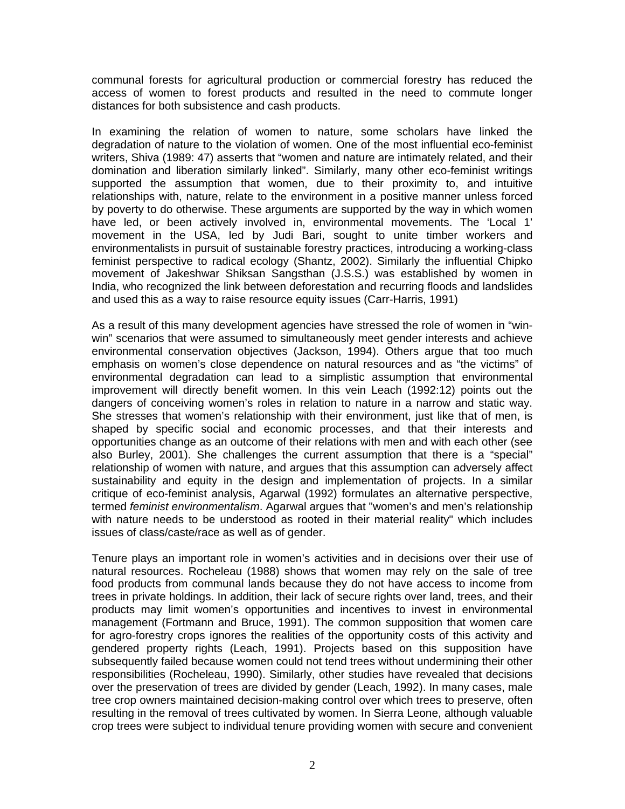communal forests for agricultural production or commercial forestry has reduced the access of women to forest products and resulted in the need to commute longer distances for both subsistence and cash products.

In examining the relation of women to nature, some scholars have linked the degradation of nature to the violation of women. One of the most influential eco-feminist writers, Shiva (1989: 47) asserts that "women and nature are intimately related, and their domination and liberation similarly linked". Similarly, many other eco-feminist writings supported the assumption that women, due to their proximity to, and intuitive relationships with, nature, relate to the environment in a positive manner unless forced by poverty to do otherwise. These arguments are supported by the way in which women have led, or been actively involved in, environmental movements. The 'Local 1' movement in the USA, led by Judi Bari, sought to unite timber workers and environmentalists in pursuit of sustainable forestry practices, introducing a working-class feminist perspective to radical ecology (Shantz, 2002). Similarly the influential Chipko movement of Jakeshwar Shiksan Sangsthan (J.S.S.) was established by women in India, who recognized the link between deforestation and recurring floods and landslides and used this as a way to raise resource equity issues (Carr-Harris, 1991)

As a result of this many development agencies have stressed the role of women in "winwin" scenarios that were assumed to simultaneously meet gender interests and achieve environmental conservation objectives (Jackson, 1994). Others argue that too much emphasis on women's close dependence on natural resources and as "the victims" of environmental degradation can lead to a simplistic assumption that environmental improvement will directly benefit women. In this vein Leach (1992:12) points out the dangers of conceiving women's roles in relation to nature in a narrow and static way. She stresses that women's relationship with their environment, just like that of men, is shaped by specific social and economic processes, and that their interests and opportunities change as an outcome of their relations with men and with each other (see also Burley, 2001). She challenges the current assumption that there is a "special" relationship of women with nature, and argues that this assumption can adversely affect sustainability and equity in the design and implementation of projects. In a similar critique of eco-feminist analysis, Agarwal (1992) formulates an alternative perspective, termed *feminist environmentalism*. Agarwal argues that "women's and men's relationship with nature needs to be understood as rooted in their material reality" which includes issues of class/caste/race as well as of gender.

Tenure plays an important role in women's activities and in decisions over their use of natural resources. Rocheleau (1988) shows that women may rely on the sale of tree food products from communal lands because they do not have access to income from trees in private holdings. In addition, their lack of secure rights over land, trees, and their products may limit women's opportunities and incentives to invest in environmental management (Fortmann and Bruce, 1991). The common supposition that women care for agro-forestry crops ignores the realities of the opportunity costs of this activity and gendered property rights (Leach, 1991). Projects based on this supposition have subsequently failed because women could not tend trees without undermining their other responsibilities (Rocheleau, 1990). Similarly, other studies have revealed that decisions over the preservation of trees are divided by gender (Leach, 1992). In many cases, male tree crop owners maintained decision-making control over which trees to preserve, often resulting in the removal of trees cultivated by women. In Sierra Leone, although valuable crop trees were subject to individual tenure providing women with secure and convenient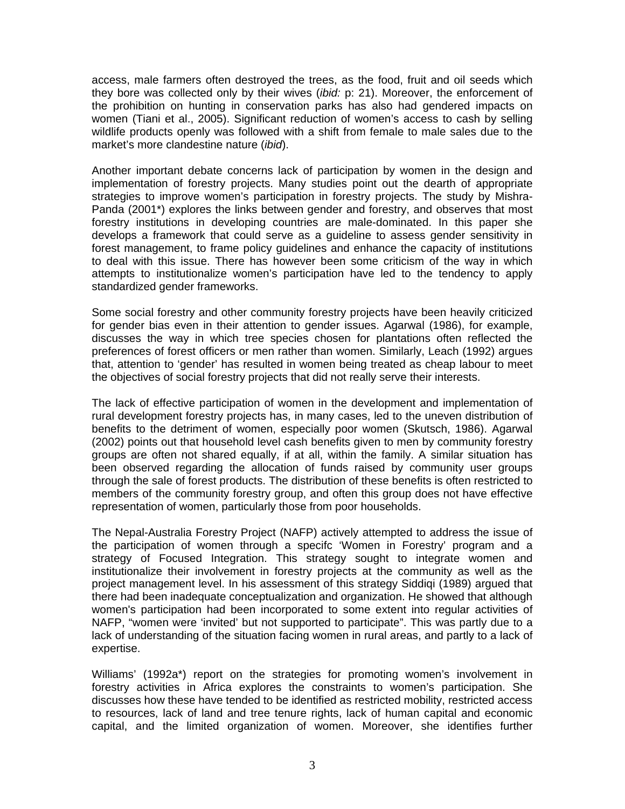access, male farmers often destroyed the trees, as the food, fruit and oil seeds which they bore was collected only by their wives (*ibid:* p: 21). Moreover, the enforcement of the prohibition on hunting in conservation parks has also had gendered impacts on women (Tiani et al., 2005). Significant reduction of women's access to cash by selling wildlife products openly was followed with a shift from female to male sales due to the market's more clandestine nature (*ibid*).

Another important debate concerns lack of participation by women in the design and implementation of forestry projects. Many studies point out the dearth of appropriate strategies to improve women's participation in forestry projects. The study by Mishra-Panda (2001\*) explores the links between gender and forestry, and observes that most forestry institutions in developing countries are male-dominated. In this paper she develops a framework that could serve as a guideline to assess gender sensitivity in forest management, to frame policy guidelines and enhance the capacity of institutions to deal with this issue. There has however been some criticism of the way in which attempts to institutionalize women's participation have led to the tendency to apply standardized gender frameworks.

Some social forestry and other community forestry projects have been heavily criticized for gender bias even in their attention to gender issues. Agarwal (1986), for example, discusses the way in which tree species chosen for plantations often reflected the preferences of forest officers or men rather than women. Similarly, Leach (1992) argues that, attention to 'gender' has resulted in women being treated as cheap labour to meet the objectives of social forestry projects that did not really serve their interests.

The lack of effective participation of women in the development and implementation of rural development forestry projects has, in many cases, led to the uneven distribution of benefits to the detriment of women, especially poor women (Skutsch, 1986). Agarwal (2002) points out that household level cash benefits given to men by community forestry groups are often not shared equally, if at all, within the family. A similar situation has been observed regarding the allocation of funds raised by community user groups through the sale of forest products. The distribution of these benefits is often restricted to members of the community forestry group, and often this group does not have effective representation of women, particularly those from poor households.

The Nepal-Australia Forestry Project (NAFP) actively attempted to address the issue of the participation of women through a specifc 'Women in Forestry' program and a strategy of Focused Integration. This strategy sought to integrate women and institutionalize their involvement in forestry projects at the community as well as the project management level. In his assessment of this strategy Siddiqi (1989) argued that there had been inadequate conceptualization and organization. He showed that although women's participation had been incorporated to some extent into regular activities of NAFP, "women were 'invited' but not supported to participate". This was partly due to a lack of understanding of the situation facing women in rural areas, and partly to a lack of expertise.

Williams' (1992a\*) report on the strategies for promoting women's involvement in forestry activities in Africa explores the constraints to women's participation. She discusses how these have tended to be identified as restricted mobility, restricted access to resources, lack of land and tree tenure rights, lack of human capital and economic capital, and the limited organization of women. Moreover, she identifies further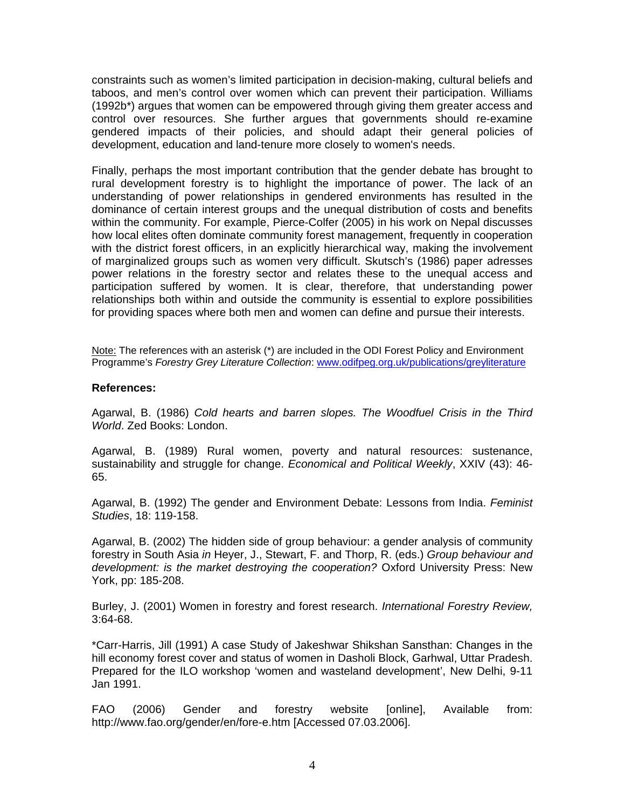constraints such as women's limited participation in decision-making, cultural beliefs and taboos, and men's control over women which can prevent their participation. Williams (1992b\*) argues that women can be empowered through giving them greater access and control over resources. She further argues that governments should re-examine gendered impacts of their policies, and should adapt their general policies of development, education and land-tenure more closely to women's needs.

Finally, perhaps the most important contribution that the gender debate has brought to rural development forestry is to highlight the importance of power. The lack of an understanding of power relationships in gendered environments has resulted in the dominance of certain interest groups and the unequal distribution of costs and benefits within the community. For example, Pierce-Colfer (2005) in his work on Nepal discusses how local elites often dominate community forest management, frequently in cooperation with the district forest officers, in an explicitly hierarchical way, making the involvement of marginalized groups such as women very difficult. Skutsch's (1986) paper adresses power relations in the forestry sector and relates these to the unequal access and participation suffered by women. It is clear, therefore, that understanding power relationships both within and outside the community is essential to explore possibilities for providing spaces where both men and women can define and pursue their interests.

Note: The references with an asterisk (\*) are included in the ODI Forest Policy and Environment Programme's *Forestry Grey Literature Collection*: www.odifpeg.org.uk/publications/greyliterature

#### **References:**

Agarwal, B. (1986) *Cold hearts and barren slopes. The Woodfuel Crisis in the Third World*. Zed Books: London.

Agarwal, B. (1989) Rural women, poverty and natural resources: sustenance, sustainability and struggle for change. *Economical and Political Weekly*, XXIV (43): 46- 65.

Agarwal, B. (1992) The gender and Environment Debate: Lessons from India. *Feminist Studies*, 18: 119-158.

Agarwal, B. (2002) The hidden side of group behaviour: a gender analysis of community forestry in South Asia *in* Heyer, J., Stewart, F. and Thorp, R. (eds.) *Group behaviour and development: is the market destroying the cooperation?* Oxford University Press: New York, pp: 185-208.

Burley, J. (2001) Women in forestry and forest research. *International Forestry Review,* 3:64-68.

\*Carr-Harris, Jill (1991) A case Study of Jakeshwar Shikshan Sansthan: Changes in the hill economy forest cover and status of women in Dasholi Block, Garhwal, Uttar Pradesh. Prepared for the ILO workshop 'women and wasteland development', New Delhi, 9-11 Jan 1991.

FAO (2006) Gender and forestry website [online], Available from: http://www.fao.org/gender/en/fore-e.htm [Accessed 07.03.2006].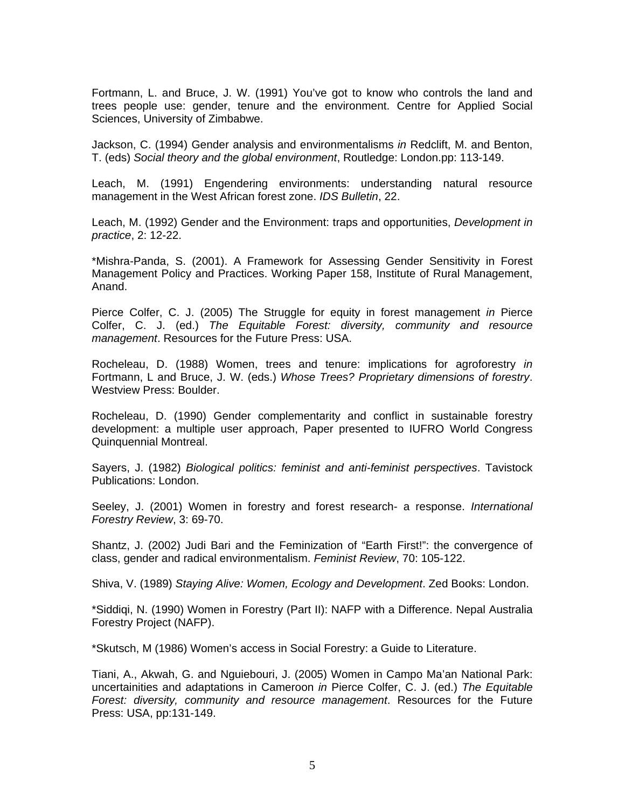Fortmann, L. and Bruce, J. W. (1991) You've got to know who controls the land and trees people use: gender, tenure and the environment. Centre for Applied Social Sciences, University of Zimbabwe.

Jackson, C. (1994) Gender analysis and environmentalisms *in* Redclift, M. and Benton, T. (eds) *Social theory and the global environment*, Routledge: London.pp: 113-149.

Leach, M. (1991) Engendering environments: understanding natural resource management in the West African forest zone. *IDS Bulletin*, 22.

Leach, M. (1992) Gender and the Environment: traps and opportunities, *Development in practice*, 2: 12-22.

\*Mishra-Panda, S. (2001). A Framework for Assessing Gender Sensitivity in Forest Management Policy and Practices. Working Paper 158, Institute of Rural Management, Anand.

Pierce Colfer, C. J. (2005) The Struggle for equity in forest management *in* Pierce Colfer, C. J. (ed.) *The Equitable Forest: diversity, community and resource management*. Resources for the Future Press: USA.

Rocheleau, D. (1988) Women, trees and tenure: implications for agroforestry *in* Fortmann, L and Bruce, J. W. (eds.) *Whose Trees? Proprietary dimensions of forestry*. Westview Press: Boulder.

Rocheleau, D. (1990) Gender complementarity and conflict in sustainable forestry development: a multiple user approach, Paper presented to IUFRO World Congress Quinquennial Montreal.

Sayers, J. (1982) *Biological politics: feminist and anti-feminist perspectives*. Tavistock Publications: London.

Seeley, J. (2001) Women in forestry and forest research- a response. *International Forestry Review*, 3: 69-70.

Shantz, J. (2002) Judi Bari and the Feminization of "Earth First!": the convergence of class, gender and radical environmentalism. *Feminist Review*, 70: 105-122.

Shiva, V. (1989) *Staying Alive: Women, Ecology and Development*. Zed Books: London.

\*Siddiqi, N. (1990) Women in Forestry (Part II): NAFP with a Difference. Nepal Australia Forestry Project (NAFP).

\*Skutsch, M (1986) Women's access in Social Forestry: a Guide to Literature.

Tiani, A., Akwah, G. and Nguiebouri, J. (2005) Women in Campo Ma'an National Park: uncertainities and adaptations in Cameroon *in* Pierce Colfer, C. J. (ed.) *The Equitable Forest: diversity, community and resource management*. Resources for the Future Press: USA, pp:131-149.